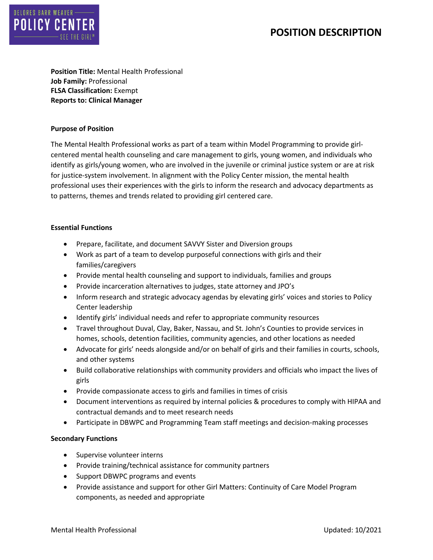# **POSITION DESCRIPTION**



**Position Title:** Mental Health Professional **Job Family:** Professional **FLSA Classification:** Exempt **Reports to: Clinical Manager**

#### **Purpose of Position**

The Mental Health Professional works as part of a team within Model Programming to provide girlcentered mental health counseling and care management to girls, young women, and individuals who identify as girls/young women, who are involved in the juvenile or criminal justice system or are at risk for justice-system involvement. In alignment with the Policy Center mission, the mental health professional uses their experiences with the girls to inform the research and advocacy departments as to patterns, themes and trends related to providing girl centered care.

### **Essential Functions**

- Prepare, facilitate, and document SAVVY Sister and Diversion groups
- Work as part of a team to develop purposeful connections with girls and their families/caregivers
- Provide mental health counseling and support to individuals, families and groups
- Provide incarceration alternatives to judges, state attorney and JPO's
- Inform research and strategic advocacy agendas by elevating girls' voices and stories to Policy Center leadership
- Identify girls' individual needs and refer to appropriate community resources
- Travel throughout Duval, Clay, Baker, Nassau, and St. John's Counties to provide services in homes, schools, detention facilities, community agencies, and other locations as needed
- Advocate for girls' needs alongside and/or on behalf of girls and their families in courts, schools, and other systems
- Build collaborative relationships with community providers and officials who impact the lives of girls
- Provide compassionate access to girls and families in times of crisis
- Document interventions as required by internal policies & procedures to comply with HIPAA and contractual demands and to meet research needs
- Participate in DBWPC and Programming Team staff meetings and decision-making processes

## **Secondary Functions**

- Supervise volunteer interns
- Provide training/technical assistance for community partners
- Support DBWPC programs and events
- Provide assistance and support for other Girl Matters: Continuity of Care Model Program components, as needed and appropriate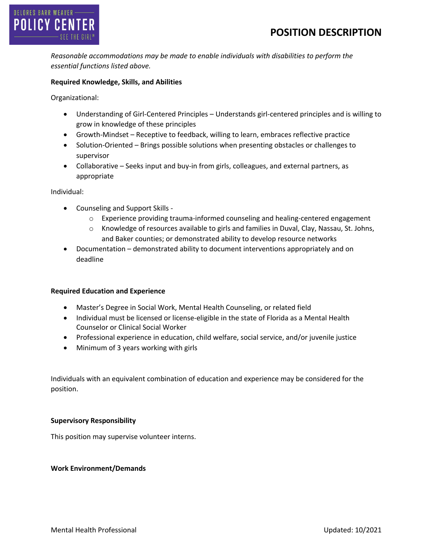

*Reasonable accommodations may be made to enable individuals with disabilities to perform the essential functions listed above.*

## **Required Knowledge, Skills, and Abilities**

Organizational:

- Understanding of Girl-Centered Principles Understands girl-centered principles and is willing to grow in knowledge of these principles
- Growth-Mindset Receptive to feedback, willing to learn, embraces reflective practice
- Solution-Oriented Brings possible solutions when presenting obstacles or challenges to supervisor
- Collaborative Seeks input and buy-in from girls, colleagues, and external partners, as appropriate

Individual:

- Counseling and Support Skills
	- o Experience providing trauma-informed counseling and healing-centered engagement
	- o Knowledge of resources available to girls and families in Duval, Clay, Nassau, St. Johns, and Baker counties; or demonstrated ability to develop resource networks
- Documentation demonstrated ability to document interventions appropriately and on deadline

## **Required Education and Experience**

- Master's Degree in Social Work, Mental Health Counseling, or related field
- Individual must be licensed or license-eligible in the state of Florida as a Mental Health Counselor or Clinical Social Worker
- Professional experience in education, child welfare, social service, and/or juvenile justice
- Minimum of 3 years working with girls

Individuals with an equivalent combination of education and experience may be considered for the position.

#### **Supervisory Responsibility**

This position may supervise volunteer interns.

#### **Work Environment/Demands**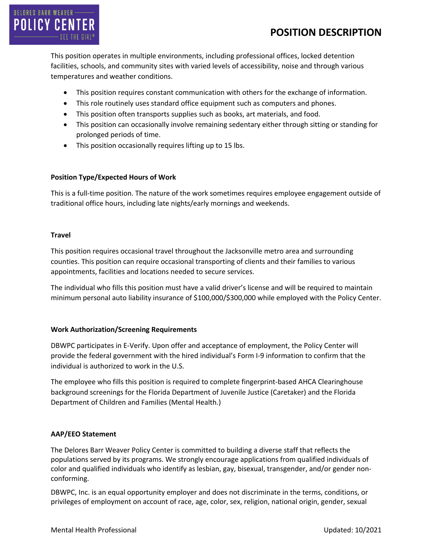

This position operates in multiple environments, including professional offices, locked detention facilities, schools, and community sites with varied levels of accessibility, noise and through various temperatures and weather conditions.

- This position requires constant communication with others for the exchange of information.
- This role routinely uses standard office equipment such as computers and phones.
- This position often transports supplies such as books, art materials, and food.
- This position can occasionally involve remaining sedentary either through sitting or standing for prolonged periods of time.
- This position occasionally requires lifting up to 15 lbs.

## **Position Type/Expected Hours of Work**

This is a full-time position. The nature of the work sometimes requires employee engagement outside of traditional office hours, including late nights/early mornings and weekends.

## **Travel**

This position requires occasional travel throughout the Jacksonville metro area and surrounding counties. This position can require occasional transporting of clients and their families to various appointments, facilities and locations needed to secure services.

The individual who fills this position must have a valid driver's license and will be required to maintain minimum personal auto liability insurance of \$100,000/\$300,000 while employed with the Policy Center.

## **Work Authorization/Screening Requirements**

DBWPC participates in E-Verify. Upon offer and acceptance of employment, the Policy Center will provide the federal government with the hired individual's Form I-9 information to confirm that the individual is authorized to work in the U.S.

The employee who fills this position is required to complete fingerprint-based AHCA Clearinghouse background screenings for the Florida Department of Juvenile Justice (Caretaker) and the Florida Department of Children and Families (Mental Health.)

## **AAP/EEO Statement**

The Delores Barr Weaver Policy Center is committed to building a diverse staff that reflects the populations served by its programs. We strongly encourage applications from qualified individuals of color and qualified individuals who identify as lesbian, gay, bisexual, transgender, and/or gender nonconforming.

DBWPC, Inc. is an equal opportunity employer and does not discriminate in the terms, conditions, or privileges of employment on account of race, age, color, sex, religion, national origin, gender, sexual